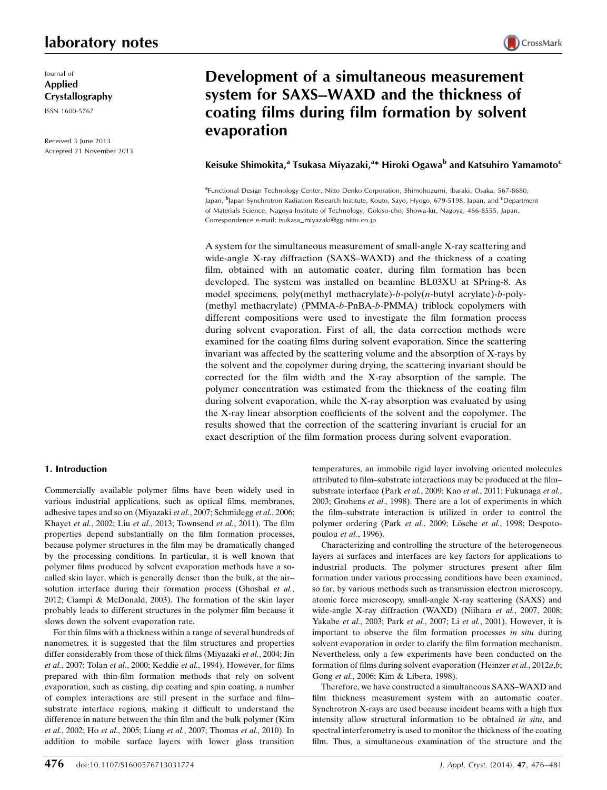Journal of Applied Crystallography ISSN 1600-5767

Received 3 June 2013 Accepted 21 November 2013

# Development of a simultaneous measurement system for SAXS–WAXD and the thickness of coating films during film formation by solvent evaporation

## Keisuke Shimokita,<sup>a</sup> Tsukasa Miyazaki,<sup>a</sup>\* Hiroki Ogawa<sup>b</sup> and Katsuhiro Yamamoto<sup>c</sup>

a Functional Design Technology Center, Nitto Denko Corporation, Shimohozumi, Ibaraki, Osaka, 567-8680, Japan, <sup>b</sup>Japan Synchrotron Radiation Research Institute, Kouto, Sayo, Hyogo, 679-5198, Japan, and <sup>c</sup>Department of Materials Science, Nagoya Institute of Technology, Gokiso-cho, Showa-ku, Nagoya, 466-8555, Japan. Correspondence e-mail: tsukasa\_miyazaki@gg.nitto.co.jp

A system for the simultaneous measurement of small-angle X-ray scattering and wide-angle X-ray diffraction (SAXS–WAXD) and the thickness of a coating film, obtained with an automatic coater, during film formation has been developed. The system was installed on beamline BL03XU at SPring-8. As model specimens, poly(methyl methacrylate)-b-poly $(n$ -butyl acrylate)-b-poly-(methyl methacrylate) (PMMA-b-PnBA-b-PMMA) triblock copolymers with different compositions were used to investigate the film formation process during solvent evaporation. First of all, the data correction methods were examined for the coating films during solvent evaporation. Since the scattering invariant was affected by the scattering volume and the absorption of X-rays by the solvent and the copolymer during drying, the scattering invariant should be corrected for the film width and the X-ray absorption of the sample. The polymer concentration was estimated from the thickness of the coating film during solvent evaporation, while the X-ray absorption was evaluated by using the X-ray linear absorption coefficients of the solvent and the copolymer. The results showed that the correction of the scattering invariant is crucial for an exact description of the film formation process during solvent evaporation.

## 1. Introduction

Commercially available polymer films have been widely used in various industrial applications, such as optical films, membranes, adhesive tapes and so on (Miyazaki et al., 2007; Schmidegg et al., 2006; Khayet et al., 2002; Liu et al., 2013; Townsend et al., 2011). The film properties depend substantially on the film formation processes, because polymer structures in the film may be dramatically changed by the processing conditions. In particular, it is well known that polymer films produced by solvent evaporation methods have a socalled skin layer, which is generally denser than the bulk, at the air– solution interface during their formation process (Ghoshal et al., 2012; Ciampi & McDonald, 2003). The formation of the skin layer probably leads to different structures in the polymer film because it slows down the solvent evaporation rate.

For thin films with a thickness within a range of several hundreds of nanometres, it is suggested that the film structures and properties differ considerably from those of thick films (Miyazaki et al., 2004; Jin et al., 2007; Tolan et al., 2000; Keddie et al., 1994). However, for films prepared with thin-film formation methods that rely on solvent evaporation, such as casting, dip coating and spin coating, a number of complex interactions are still present in the surface and film– substrate interface regions, making it difficult to understand the difference in nature between the thin film and the bulk polymer (Kim et al., 2002; Ho et al., 2005; Liang et al., 2007; Thomas et al., 2010). In addition to mobile surface layers with lower glass transition temperatures, an immobile rigid layer involving oriented molecules attributed to film–substrate interactions may be produced at the film– substrate interface (Park et al., 2009; Kao et al., 2011; Fukunaga et al., 2003; Grohens et al., 1998). There are a lot of experiments in which the film–substrate interaction is utilized in order to control the polymer ordering (Park et al., 2009; Lösche et al., 1998; Despotopoulou et al., 1996).

Characterizing and controlling the structure of the heterogeneous layers at surfaces and interfaces are key factors for applications to industrial products. The polymer structures present after film formation under various processing conditions have been examined, so far, by various methods such as transmission electron microscopy, atomic force microscopy, small-angle X-ray scattering (SAXS) and wide-angle X-ray diffraction (WAXD) (Niihara et al., 2007, 2008; Yakabe et al., 2003; Park et al., 2007; Li et al., 2001). However, it is important to observe the film formation processes in situ during solvent evaporation in order to clarify the film formation mechanism. Nevertheless, only a few experiments have been conducted on the formation of films during solvent evaporation (Heinzer et al., 2012a,b; Gong et al., 2006; Kim & Libera, 1998).

Therefore, we have constructed a simultaneous SAXS–WAXD and film thickness measurement system with an automatic coater. Synchrotron X-rays are used because incident beams with a high flux intensity allow structural information to be obtained in situ, and spectral interferometry is used to monitor the thickness of the coating film. Thus, a simultaneous examination of the structure and the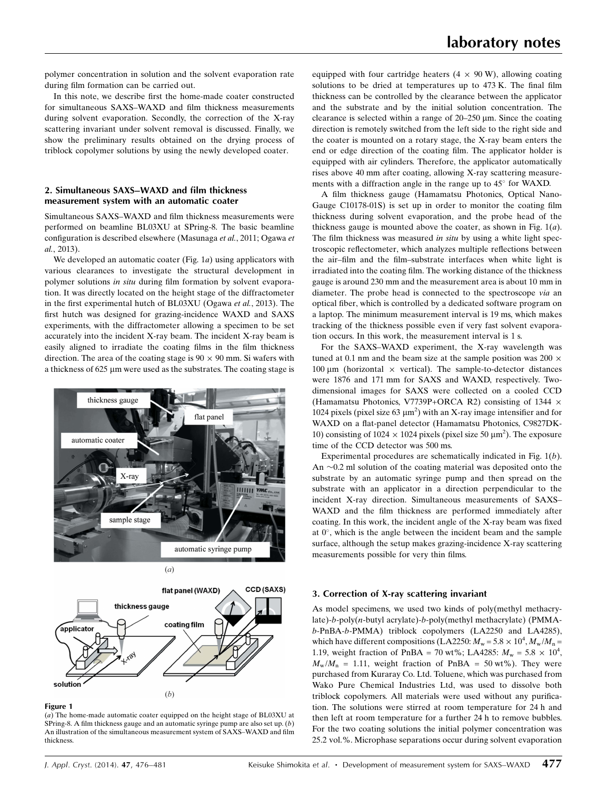polymer concentration in solution and the solvent evaporation rate during film formation can be carried out.

In this note, we describe first the home-made coater constructed for simultaneous SAXS–WAXD and film thickness measurements during solvent evaporation. Secondly, the correction of the X-ray scattering invariant under solvent removal is discussed. Finally, we show the preliminary results obtained on the drying process of triblock copolymer solutions by using the newly developed coater.

## 2. Simultaneous SAXS–WAXD and film thickness measurement system with an automatic coater

Simultaneous SAXS–WAXD and film thickness measurements were performed on beamline BL03XU at SPring-8. The basic beamline configuration is described elsewhere (Masunaga et al., 2011; Ogawa et al., 2013).

We developed an automatic coater (Fig.  $1a$ ) using applicators with various clearances to investigate the structural development in polymer solutions in situ during film formation by solvent evaporation. It was directly located on the height stage of the diffractometer in the first experimental hutch of BL03XU (Ogawa et al., 2013). The first hutch was designed for grazing-incidence WAXD and SAXS experiments, with the diffractometer allowing a specimen to be set accurately into the incident X-ray beam. The incident X-ray beam is easily aligned to irradiate the coating films in the film thickness direction. The area of the coating stage is  $90 \times 90$  mm. Si wafers with a thickness of 625 µm were used as the substrates. The coating stage is



flat panel (WAXD)

coating film

thickness gauge

CCD (SAXS)

equipped with four cartridge heaters  $(4 \times 90 \text{ W})$ , allowing coating solutions to be dried at temperatures up to 473 K. The final film thickness can be controlled by the clearance between the applicator and the substrate and by the initial solution concentration. The clearance is selected within a range of  $20-250 \mu m$ . Since the coating direction is remotely switched from the left side to the right side and the coater is mounted on a rotary stage, the X-ray beam enters the end or edge direction of the coating film. The applicator holder is equipped with air cylinders. Therefore, the applicator automatically rises above 40 mm after coating, allowing X-ray scattering measure-

ments with a diffraction angle in the range up to  $45^{\circ}$  for WAXD. A film thickness gauge (Hamamatsu Photonics, Optical Nano-Gauge C10178-01S) is set up in order to monitor the coating film thickness during solvent evaporation, and the probe head of the thickness gauge is mounted above the coater, as shown in Fig.  $1(a)$ . The film thickness was measured in situ by using a white light spectroscopic reflectometer, which analyzes multiple reflections between the air–film and the film–substrate interfaces when white light is irradiated into the coating film. The working distance of the thickness gauge is around 230 mm and the measurement area is about 10 mm in diameter. The probe head is connected to the spectroscope via an optical fiber, which is controlled by a dedicated software program on a laptop. The minimum measurement interval is 19 ms, which makes tracking of the thickness possible even if very fast solvent evaporation occurs. In this work, the measurement interval is 1 s.

For the SAXS–WAXD experiment, the X-ray wavelength was tuned at 0.1 nm and the beam size at the sample position was 200  $\times$ 100  $\mu$ m (horizontal  $\times$  vertical). The sample-to-detector distances were 1876 and 171 mm for SAXS and WAXD, respectively. Twodimensional images for SAXS were collected on a cooled CCD (Hamamatsu Photonics, V7739P+ORCA R2) consisting of 1344  $\times$ 1024 pixels (pixel size  $63 \mu m^2$ ) with an X-ray image intensifier and for WAXD on a flat-panel detector (Hamamatsu Photonics, C9827DK-10) consisting of 1024  $\times$  1024 pixels (pixel size 50  $\mu$ m<sup>2</sup>). The exposure time of the CCD detector was 500 ms.

Experimental procedures are schematically indicated in Fig. 1(b). An  $\sim$ 0.2 ml solution of the coating material was deposited onto the substrate by an automatic syringe pump and then spread on the substrate with an applicator in a direction perpendicular to the incident X-ray direction. Simultaneous measurements of SAXS– WAXD and the film thickness are performed immediately after coating. In this work, the incident angle of the X-ray beam was fixed at  $0^\circ$ , which is the angle between the incident beam and the sample surface, although the setup makes grazing-incidence X-ray scattering measurements possible for very thin films.

3. Correction of X-ray scattering invariant

As model specimens, we used two kinds of poly(methyl methacrylate)-b-poly(n-butyl acrylate)-b-poly(methyl methacrylate) (PMMAb-PnBA-b-PMMA) triblock copolymers (LA2250 and LA4285), which have different compositions (LA2250:  $M_w = 5.8 \times 10^4$ ,  $M_w/M_n =$ 1.19, weight fraction of PnBA = 70 wt%; LA4285:  $M_w = 5.8 \times 10^4$ ,  $M_{\rm w}/M_{\rm n}$  = 1.11, weight fraction of PnBA = 50 wt%). They were purchased from Kuraray Co. Ltd. Toluene, which was purchased from Wako Pure Chemical Industries Ltd, was used to dissolve both triblock copolymers. All materials were used without any purification. The solutions were stirred at room temperature for 24 h and then left at room temperature for a further 24 h to remove bubbles. For the two coating solutions the initial polymer concentration was 25.2 vol.%. Microphase separations occur during solvent evaporation

## Figure 1

solution

applicator

(a) The home-made automatic coater equipped on the height stage of BL03XU at SPring-8. A film thickness gauge and an automatic syringe pump are also set up. (b) An illustration of the simultaneous measurement system of SAXS–WAXD and film thickness.

 $(b)$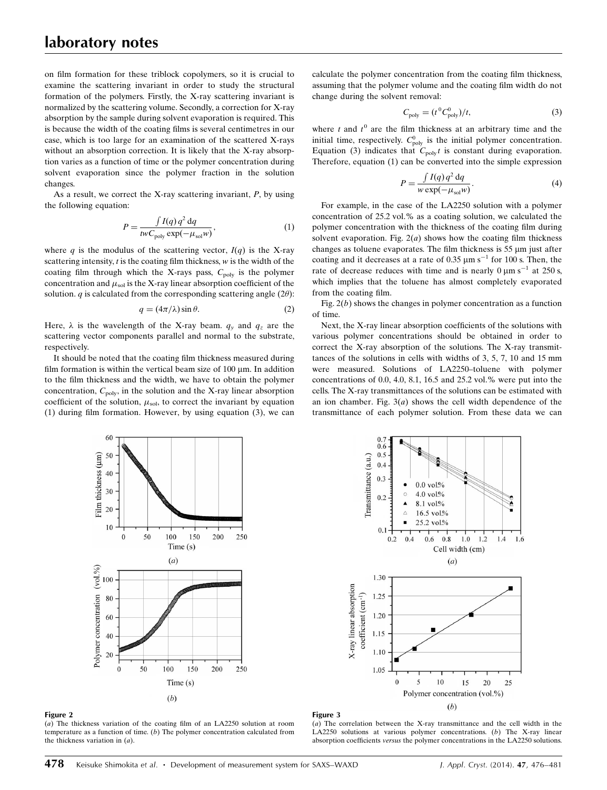on film formation for these triblock copolymers, so it is crucial to examine the scattering invariant in order to study the structural formation of the polymers. Firstly, the X-ray scattering invariant is normalized by the scattering volume. Secondly, a correction for X-ray absorption by the sample during solvent evaporation is required. This is because the width of the coating films is several centimetres in our case, which is too large for an examination of the scattered X-rays without an absorption correction. It is likely that the X-ray absorption varies as a function of time or the polymer concentration during solvent evaporation since the polymer fraction in the solution changes.

As a result, we correct the X-ray scattering invariant,  $P$ , by using the following equation:

$$
P = \frac{\int I(q) q^2 dq}{twC_{\text{poly}} \exp(-\mu_{\text{sol}}w)},
$$
\n(1)

where q is the modulus of the scattering vector,  $I(q)$  is the X-ray scattering intensity,  $t$  is the coating film thickness,  $w$  is the width of the coating film through which the X-rays pass,  $C_{\text{poly}}$  is the polymer concentration and  $\mu_{\rm sol}$  is the X-ray linear absorption coefficient of the solution. *q* is calculated from the corresponding scattering angle (2 $\theta$ ):

$$
q = (4\pi/\lambda)\sin\theta. \tag{2}
$$

Here,  $\lambda$  is the wavelength of the X-ray beam.  $q_y$  and  $q_z$  are the scattering vector components parallel and normal to the substrate, respectively.

It should be noted that the coating film thickness measured during film formation is within the vertical beam size of  $100 \mu m$ . In addition to the film thickness and the width, we have to obtain the polymer concentration,  $C_{\text{poly}}$ , in the solution and the X-ray linear absorption coefficient of the solution,  $\mu_{sol}$ , to correct the invariant by equation (1) during film formation. However, by using equation (3), we can

calculate the polymer concentration from the coating film thickness, assuming that the polymer volume and the coating film width do not change during the solvent removal:

$$
C_{\text{poly}} = (t^0 C_{\text{poly}}^0)/t,\tag{3}
$$

where t and  $t^0$  are the film thickness at an arbitrary time and the initial time, respectively.  $C_{\text{poly}}^0$  is the initial polymer concentration. Equation (3) indicates that  $C_{\text{poly}}t$  is constant during evaporation. Therefore, equation (1) can be converted into the simple expression

$$
P = \frac{\int I(q) q^2 dq}{w \exp(-\mu_{\text{sol}}w)}.
$$
\n(4)

For example, in the case of the LA2250 solution with a polymer concentration of 25.2 vol.% as a coating solution, we calculated the polymer concentration with the thickness of the coating film during solvent evaporation. Fig.  $2(a)$  shows how the coating film thickness changes as toluene evaporates. The film thickness is  $55 \mu m$  just after coating and it decreases at a rate of 0.35  $\mu$ m s<sup>-1</sup> for 100 s. Then, the rate of decrease reduces with time and is nearly  $0 \mu m s^{-1}$  at 250 s, which implies that the toluene has almost completely evaporated from the coating film.

Fig.  $2(b)$  shows the changes in polymer concentration as a function of time.

Next, the X-ray linear absorption coefficients of the solutions with various polymer concentrations should be obtained in order to correct the X-ray absorption of the solutions. The X-ray transmittances of the solutions in cells with widths of 3, 5, 7, 10 and 15 mm were measured. Solutions of LA2250–toluene with polymer concentrations of 0.0, 4.0, 8.1, 16.5 and 25.2 vol.% were put into the cells. The X-ray transmittances of the solutions can be estimated with an ion chamber. Fig.  $3(a)$  shows the cell width dependence of the transmittance of each polymer solution. From these data we can



Figure 2

(a) The thickness variation of the coating film of an LA2250 solution at room temperature as a function of time.  $(b)$  The polymer concentration calculated from the thickness variation in  $(a)$ .



#### Figure 3

(a) The correlation between the X-ray transmittance and the cell width in the LA2250 solutions at various polymer concentrations. (b) The X-ray linear absorption coefficients versus the polymer concentrations in the LA2250 solutions.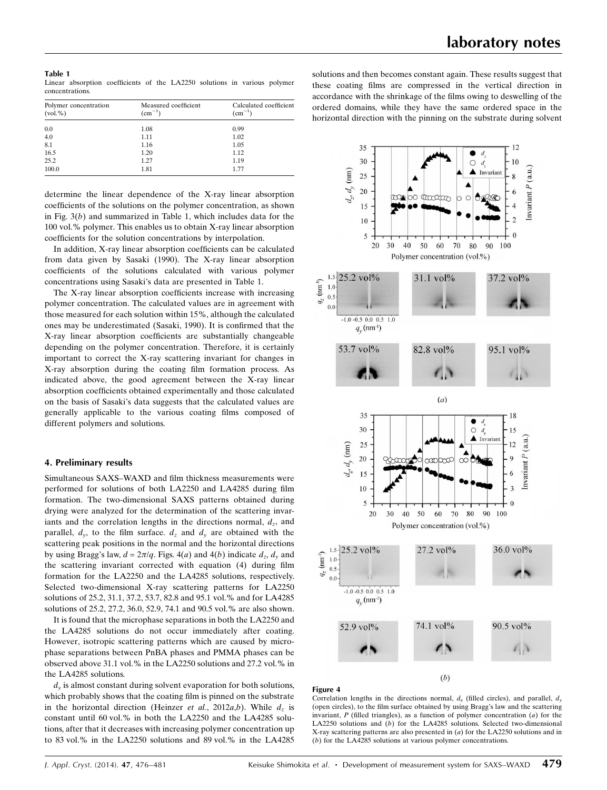Table 1 Linear absorption coefficients of the LA2250 solutions in various polymer concentrations.

| Polymer concentration<br>(vol. %) | Measured coefficient<br>$\rm (cm^{-1})$ | Calculated coefficient<br>$\rm (cm^{-1})$ |
|-----------------------------------|-----------------------------------------|-------------------------------------------|
| 0.0                               | 1.08                                    | 0.99                                      |
| 4.0                               | 1.11                                    | 1.02                                      |
| 8.1                               | 1.16                                    | 1.05                                      |
| 16.5                              | 1.20                                    | 1.12                                      |
| 25.2                              | 1.27                                    | 1.19                                      |
| 100.0                             | 1.81                                    | 1.77                                      |

determine the linear dependence of the X-ray linear absorption coefficients of the solutions on the polymer concentration, as shown in Fig.  $3(b)$  and summarized in Table 1, which includes data for the 100 vol.% polymer. This enables us to obtain X-ray linear absorption coefficients for the solution concentrations by interpolation.

In addition, X-ray linear absorption coefficients can be calculated from data given by Sasaki (1990). The X-ray linear absorption coefficients of the solutions calculated with various polymer concentrations using Sasaki's data are presented in Table 1.

The X-ray linear absorption coefficients increase with increasing polymer concentration. The calculated values are in agreement with those measured for each solution within 15%, although the calculated ones may be underestimated (Sasaki, 1990). It is confirmed that the X-ray linear absorption coefficients are substantially changeable depending on the polymer concentration. Therefore, it is certainly important to correct the X-ray scattering invariant for changes in X-ray absorption during the coating film formation process. As indicated above, the good agreement between the X-ray linear absorption coefficients obtained experimentally and those calculated on the basis of Sasaki's data suggests that the calculated values are generally applicable to the various coating films composed of different polymers and solutions.

#### 4. Preliminary results

Simultaneous SAXS–WAXD and film thickness measurements were performed for solutions of both LA2250 and LA4285 during film formation. The two-dimensional SAXS patterns obtained during drying were analyzed for the determination of the scattering invariants and the correlation lengths in the directions normal,  $d_z$ , and parallel,  $d_y$ , to the film surface.  $d_z$  and  $d_y$  are obtained with the scattering peak positions in the normal and the horizontal directions by using Bragg's law,  $d = 2\pi/q$ . Figs. 4(a) and 4(b) indicate  $d_z$ ,  $d_y$  and the scattering invariant corrected with equation (4) during film formation for the LA2250 and the LA4285 solutions, respectively. Selected two-dimensional X-ray scattering patterns for LA2250 solutions of 25.2, 31.1, 37.2, 53.7, 82.8 and 95.1 vol.% and for LA4285 solutions of 25.2, 27.2, 36.0, 52.9, 74.1 and 90.5 vol.% are also shown.

It is found that the microphase separations in both the LA2250 and the LA4285 solutions do not occur immediately after coating. However, isotropic scattering patterns which are caused by microphase separations between PnBA phases and PMMA phases can be observed above 31.1 vol.% in the LA2250 solutions and 27.2 vol.% in the LA4285 solutions.

 $d<sub>y</sub>$  is almost constant during solvent evaporation for both solutions, which probably shows that the coating film is pinned on the substrate in the horizontal direction (Heinzer et al., 2012a,b). While  $d<sub>z</sub>$  is constant until 60 vol.% in both the LA2250 and the LA4285 solutions, after that it decreases with increasing polymer concentration up to 83 vol.% in the LA2250 solutions and 89 vol.% in the LA4285 solutions and then becomes constant again. These results suggest that these coating films are compressed in the vertical direction in accordance with the shrinkage of the films owing to deswelling of the ordered domains, while they have the same ordered space in the horizontal direction with the pinning on the substrate during solvent



#### Figure 4

Correlation lengths in the directions normal,  $d<sub>x</sub>$  (filled circles), and parallel,  $d<sub>y</sub>$ (open circles), to the film surface obtained by using Bragg's law and the scattering invariant,  $P$  (filled triangles), as a function of polymer concentration  $(a)$  for the LA2250 solutions and (b) for the LA4285 solutions. Selected two-dimensional X-ray scattering patterns are also presented in  $(a)$  for the LA2250 solutions and in (b) for the LA4285 solutions at various polymer concentrations.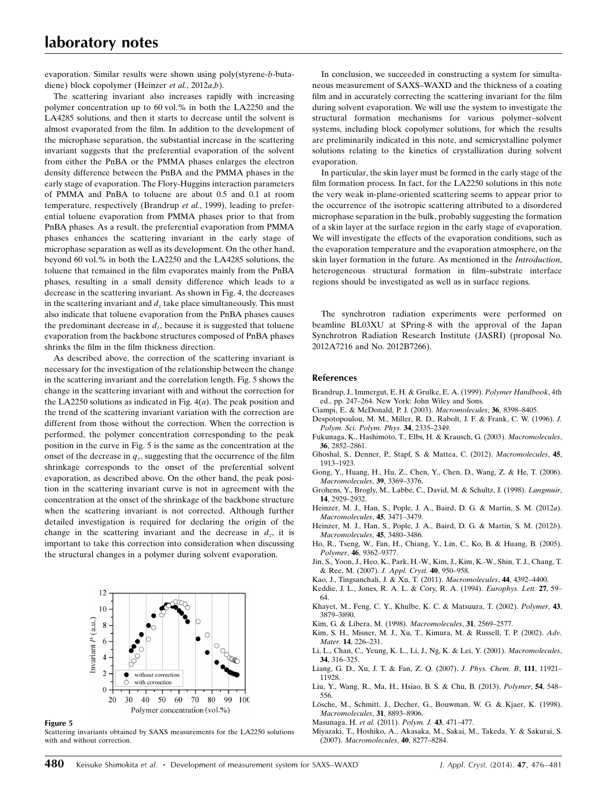evaporation. Similar results were shown using poly(styrene-b-butadiene) block copolymer (Heinzer et al., 2012a,b).

The scattering invariant also increases rapidly with increasing polymer concentration up to 60 vol.% in both the LA2250 and the LA4285 solutions, and then it starts to decrease until the solvent is almost evaporated from the film. In addition to the development of the microphase separation, the substantial increase in the scattering invariant suggests that the preferential evaporation of the solvent from either the PnBA or the PMMA phases enlarges the electron density difference between the PnBA and the PMMA phases in the early stage of evaporation. The Flory-Huggins interaction parameters of PMMA and PnBA to toluene are about 0.5 and 0.1 at room temperature, respectively (Brandrup et al., 1999), leading to preferential toluene evaporation from PMMA phases prior to that from PnBA phases. As a result, the preferential evaporation from PMMA phases enhances the scattering invariant in the early stage of microphase separation as well as its development. On the other hand, beyond 60 vol.% in both the LA2250 and the LA4285 solutions, the toluene that remained in the film evaporates mainly from the PnBA phases, resulting in a small density difference which leads to a decrease in the scattering invariant. As shown in Fig. 4, the decreases in the scattering invariant and  $d_z$  take place simultaneously. This must also indicate that toluene evaporation from the PnBA phases causes the predominant decrease in  $d_z$ , because it is suggested that toluene evaporation from the backbone structures composed of PnBA phases shrinks the film in the film thickness direction.

As described above, the correction of the scattering invariant is necessary for the investigation of the relationship between the change in the scattering invariant and the correlation length. Fig. 5 shows the change in the scattering invariant with and without the correction for the LA2250 solutions as indicated in Fig.  $4(a)$ . The peak position and the trend of the scattering invariant variation with the correction are different from those without the correction. When the correction is performed, the polymer concentration corresponding to the peak position in the curve in Fig. 5 is the same as the concentration at the onset of the decrease in  $q_z$ , suggesting that the occurrence of the film shrinkage corresponds to the onset of the preferential solvent evaporation, as described above. On the other hand, the peak position in the scattering invariant curve is not in agreement with the concentration at the onset of the shrinkage of the backbone structure when the scattering invariant is not corrected. Although further detailed investigation is required for declaring the origin of the change in the scattering invariant and the decrease in  $d_z$ , it is important to take this correction into consideration when discussing the structural changes in a polymer during solvent evaporation.



Figure 5

Scattering invariants obtained by SAXS measurements for the LA2250 solutions with and without correction.

In conclusion, we succeeded in constructing a system for simultaneous measurement of SAXS–WAXD and the thickness of a coating film and in accurately correcting the scattering invariant for the film during solvent evaporation. We will use the system to investigate the structural formation mechanisms for various polymer–solvent systems, including block copolymer solutions, for which the results are preliminarily indicated in this note, and semicrystalline polymer solutions relating to the kinetics of crystallization during solvent evaporation.

In particular, the skin layer must be formed in the early stage of the film formation process. In fact, for the LA2250 solutions in this note the very weak in-plane-oriented scattering seems to appear prior to the occurrence of the isotropic scattering attributed to a disordered microphase separation in the bulk, probably suggesting the formation of a skin layer at the surface region in the early stage of evaporation. We will investigate the effects of the evaporation conditions, such as the evaporation temperature and the evaporation atmosphere, on the skin layer formation in the future. As mentioned in the Introduction, heterogeneous structural formation in film–substrate interface regions should be investigated as well as in surface regions.

The synchrotron radiation experiments were performed on beamline BL03XU at SPring-8 with the approval of the Japan Synchrotron Radiation Research Institute (JASRI) (proposal No. 2012A7216 and No. 2012B7266).

#### References

- [Brandrup, J., Immergut, E. H. & Grulke, E. A. \(1999\).](http://scripts.iucr.org/cgi-bin/cr.cgi?rm=pdfbb&cnor=fs5052&bbid=BB1) Polymer Handbook, 4th [ed., pp. 247–264. New York: John Wiley and Sons.](http://scripts.iucr.org/cgi-bin/cr.cgi?rm=pdfbb&cnor=fs5052&bbid=BB1)
- [Ciampi, E. & McDonald, P. J. \(2003\).](http://scripts.iucr.org/cgi-bin/cr.cgi?rm=pdfbb&cnor=fs5052&bbid=BB2) Macromolecules, 36, 8398–8405.
- [Despotopoulou, M. M., Miller, R. D., Rabolt, J. F. & Frank, C. W. \(1996\).](http://scripts.iucr.org/cgi-bin/cr.cgi?rm=pdfbb&cnor=fs5052&bbid=BB3) J. [Polym. Sci. Polym. Phys.](http://scripts.iucr.org/cgi-bin/cr.cgi?rm=pdfbb&cnor=fs5052&bbid=BB3) 34, 2335–2349.
- [Fukunaga, K., Hashimoto, T., Elbs, H. & Krausch, G. \(2003\).](http://scripts.iucr.org/cgi-bin/cr.cgi?rm=pdfbb&cnor=fs5052&bbid=BB4) Macromolecules, 36[, 2852–2861.](http://scripts.iucr.org/cgi-bin/cr.cgi?rm=pdfbb&cnor=fs5052&bbid=BB4)
- [Ghoshal, S., Denner, P., Stapf, S. & Mattea, C. \(2012\).](http://scripts.iucr.org/cgi-bin/cr.cgi?rm=pdfbb&cnor=fs5052&bbid=BB5) Macromolecules, 45, [1913–1923.](http://scripts.iucr.org/cgi-bin/cr.cgi?rm=pdfbb&cnor=fs5052&bbid=BB5)
- [Gong, Y., Huang, H., Hu, Z., Chen, Y., Chen, D., Wang, Z. & He, T. \(2006\).](http://scripts.iucr.org/cgi-bin/cr.cgi?rm=pdfbb&cnor=fs5052&bbid=BB6) [Macromolecules](http://scripts.iucr.org/cgi-bin/cr.cgi?rm=pdfbb&cnor=fs5052&bbid=BB6), 39, 3369–3376.
- [Grohens, Y., Brogly, M., Labbe, C., David, M. & Schultz, J. \(1998\).](http://scripts.iucr.org/cgi-bin/cr.cgi?rm=pdfbb&cnor=fs5052&bbid=BB7) Langmuir, 14[, 2929–2932.](http://scripts.iucr.org/cgi-bin/cr.cgi?rm=pdfbb&cnor=fs5052&bbid=BB7)
- [Heinzer, M. J., Han, S., Pople, J. A., Baird, D. G. & Martin, S. M. \(2012](http://scripts.iucr.org/cgi-bin/cr.cgi?rm=pdfbb&cnor=fs5052&bbid=BB8)a). [Macromolecules](http://scripts.iucr.org/cgi-bin/cr.cgi?rm=pdfbb&cnor=fs5052&bbid=BB8), 45, 3471–3479.
- [Heinzer, M. J., Han, S., Pople, J. A., Baird, D. G. & Martin, S. M. \(2012](http://scripts.iucr.org/cgi-bin/cr.cgi?rm=pdfbb&cnor=fs5052&bbid=BB9)b). [Macromolecules](http://scripts.iucr.org/cgi-bin/cr.cgi?rm=pdfbb&cnor=fs5052&bbid=BB9), 45, 3480–3486.
- [Ho, R., Tseng, W., Fan, H., Chiang, Y., Lin, C., Ko, B. & Huang, B. \(2005\).](http://scripts.iucr.org/cgi-bin/cr.cgi?rm=pdfbb&cnor=fs5052&bbid=BB10) Polymer, 46[, 9362–9377.](http://scripts.iucr.org/cgi-bin/cr.cgi?rm=pdfbb&cnor=fs5052&bbid=BB10)
- [Jin, S., Yoon, J., Heo, K., Park, H.-W., Kim, J., Kim, K.-W., Shin, T. J., Chang, T.](http://scripts.iucr.org/cgi-bin/cr.cgi?rm=pdfbb&cnor=fs5052&bbid=BB11)
- [& Ree, M. \(2007\).](http://scripts.iucr.org/cgi-bin/cr.cgi?rm=pdfbb&cnor=fs5052&bbid=BB11) J. Appl. Cryst. 40, 950–958. [Kao, J., Tingsanchali, J. & Xu, T. \(2011\).](http://scripts.iucr.org/cgi-bin/cr.cgi?rm=pdfbb&cnor=fs5052&bbid=BB12) Macromolecules, 44, 4392–4400.
- [Keddie, J. L., Jones, R. A. L. & Cory, R. A. \(1994\).](http://scripts.iucr.org/cgi-bin/cr.cgi?rm=pdfbb&cnor=fs5052&bbid=BB13) Europhys. Lett. 27, 59–
- [64.](http://scripts.iucr.org/cgi-bin/cr.cgi?rm=pdfbb&cnor=fs5052&bbid=BB13) [Khayet, M., Feng, C. Y., Khulbe, K. C. & Matsuura, T. \(2002\).](http://scripts.iucr.org/cgi-bin/cr.cgi?rm=pdfbb&cnor=fs5052&bbid=BB14) Polymer, 43, [3879–3890.](http://scripts.iucr.org/cgi-bin/cr.cgi?rm=pdfbb&cnor=fs5052&bbid=BB14)
- [Kim, G. & Libera, M. \(1998\).](http://scripts.iucr.org/cgi-bin/cr.cgi?rm=pdfbb&cnor=fs5052&bbid=BB15) Macromolecules, 31, 2569–2577.
- [Kim, S. H., Misner, M. J., Xu, T., Kimura, M. & Russell, T. P. \(2002\).](http://scripts.iucr.org/cgi-bin/cr.cgi?rm=pdfbb&cnor=fs5052&bbid=BB16) Adv. Mater. 14[, 226–231.](http://scripts.iucr.org/cgi-bin/cr.cgi?rm=pdfbb&cnor=fs5052&bbid=BB16)
- [Li, L., Chan, C., Yeung, K. L., Li, J., Ng, K. & Lei, Y. \(2001\).](http://scripts.iucr.org/cgi-bin/cr.cgi?rm=pdfbb&cnor=fs5052&bbid=BB17) Macromolecules, 34[, 316–325.](http://scripts.iucr.org/cgi-bin/cr.cgi?rm=pdfbb&cnor=fs5052&bbid=BB17)
- [Liang, G. D., Xu, J. T. & Fan, Z. Q. \(2007\).](http://scripts.iucr.org/cgi-bin/cr.cgi?rm=pdfbb&cnor=fs5052&bbid=BB18) J. Phys. Chem. B, 111, 11921– [11928.](http://scripts.iucr.org/cgi-bin/cr.cgi?rm=pdfbb&cnor=fs5052&bbid=BB18)
- [Liu, Y., Wang, R., Ma, H., Hsiao, B. S. & Chu, B. \(2013\).](http://scripts.iucr.org/cgi-bin/cr.cgi?rm=pdfbb&cnor=fs5052&bbid=BB19) Polymer, 54, 548– [556.](http://scripts.iucr.org/cgi-bin/cr.cgi?rm=pdfbb&cnor=fs5052&bbid=BB19)
- Lösche, M., Schmitt, J., Decher, G., Bouwman, W. G. & Kjaer, K. (1998). [Macromolecules](http://scripts.iucr.org/cgi-bin/cr.cgi?rm=pdfbb&cnor=fs5052&bbid=BB20), 31, 8893–8906.

[Masunaga, H.](http://scripts.iucr.org/cgi-bin/cr.cgi?rm=pdfbb&cnor=fs5052&bbid=BB21) et al. (2011). Polym. J. 43, 471–477.

[Miyazaki, T., Hoshiko, A., Akasaka, M., Sakai, M., Takeda, Y. & Sakurai, S.](http://scripts.iucr.org/cgi-bin/cr.cgi?rm=pdfbb&cnor=fs5052&bbid=BB22) (2007). [Macromolecules](http://scripts.iucr.org/cgi-bin/cr.cgi?rm=pdfbb&cnor=fs5052&bbid=BB22), 40, 8277–8284.